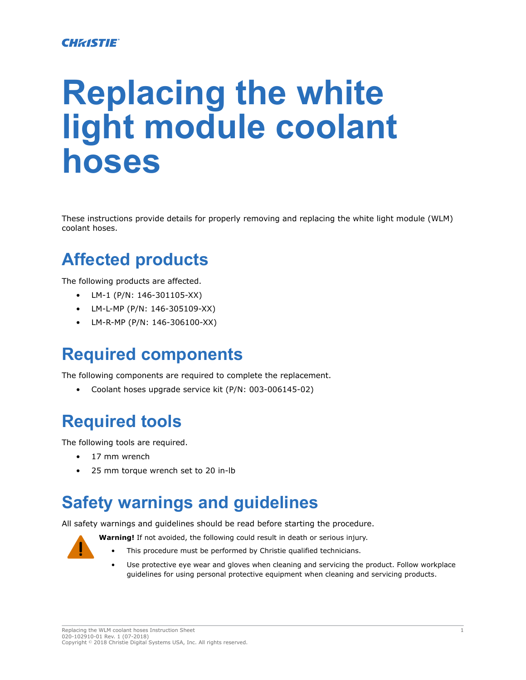#### **CHRISTIE**

# **Replacing the white light module coolant hoses**

These instructions provide details for properly removing and replacing the white light module (WLM) coolant hoses.

#### **Affected products**

The following products are affected.

- LM-1 (P/N: 146-301105-XX)
- LM-L-MP (P/N: 146-305109-XX)
- LM-R-MP (P/N: 146-306100-XX)

#### **Required components**

The following components are required to complete the replacement.

• Coolant hoses upgrade service kit (P/N: 003-006145-02)

#### **Required tools**

The following tools are required.

- 17 mm wrench
- 25 mm torque wrench set to 20 in-lb

#### **Safety warnings and guidelines**

All safety warnings and guidelines should be read before starting the procedure.



- **Warning!** If not avoided, the following could result in death or serious injury.
	- This procedure must be performed by Christie qualified technicians.
	- Use protective eye wear and gloves when cleaning and servicing the product. Follow workplace guidelines for using personal protective equipment when cleaning and servicing products.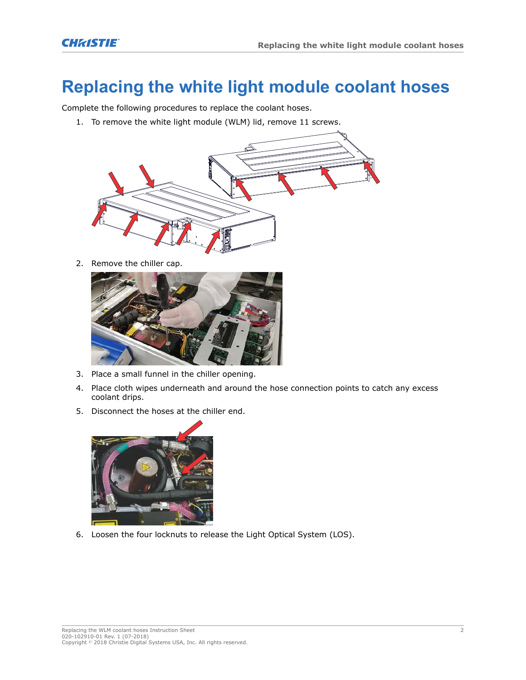### **Replacing the white light module coolant hoses**

Complete the following procedures to replace the coolant hoses.

1. To remove the white light module (WLM) lid, remove 11 screws.



2. Remove the chiller cap.



- 3. Place a small funnel in the chiller opening.
- 4. Place cloth wipes underneath and around the hose connection points to catch any excess coolant drips.
- 5. Disconnect the hoses at the chiller end.



6. Loosen the four locknuts to release the Light Optical System (LOS).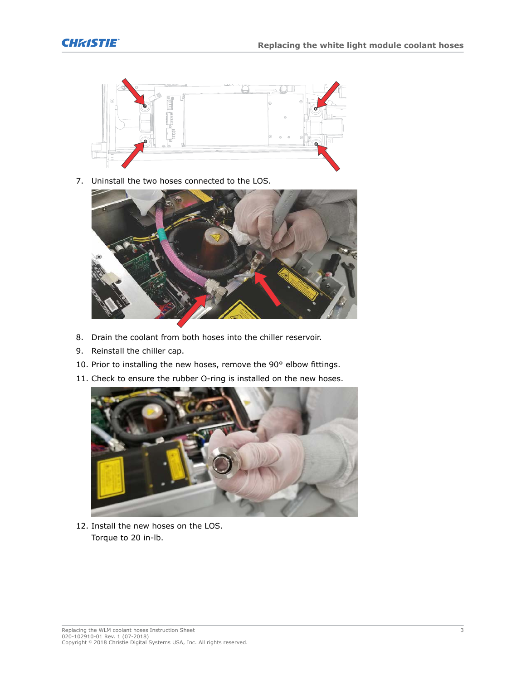



7. Uninstall the two hoses connected to the LOS.



- 8. Drain the coolant from both hoses into the chiller reservoir.
- 9. Reinstall the chiller cap.
- 10. Prior to installing the new hoses, remove the 90° elbow fittings.
- 11. Check to ensure the rubber O-ring is installed on the new hoses.



12. Install the new hoses on the LOS. Torque to 20 in-lb.